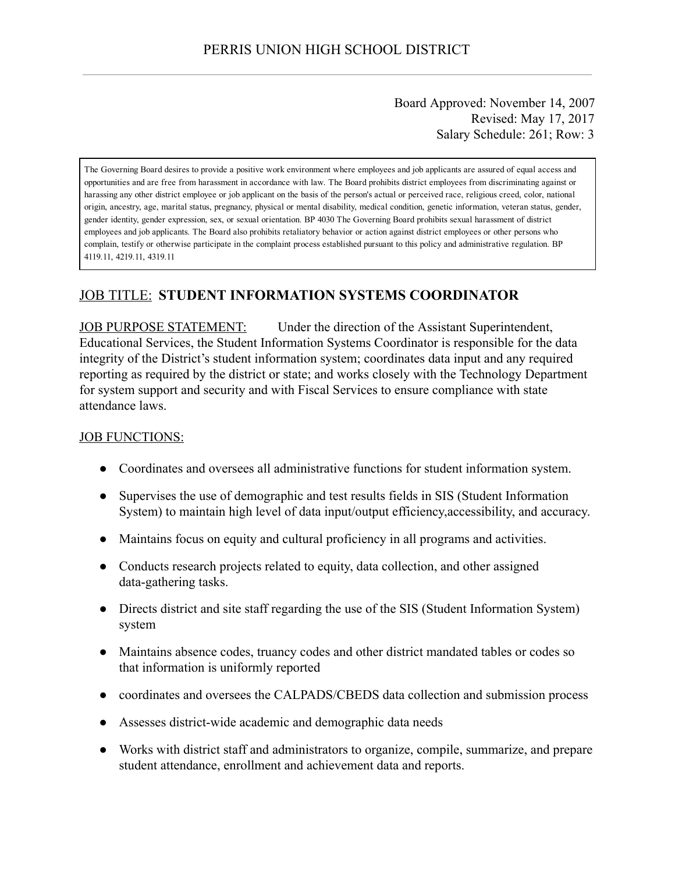Board Approved: November 14, 2007 Revised: May 17, 2017 Salary Schedule: 261; Row: 3

The Governing Board desires to provide a positive work environment where employees and job applicants are assured of equal access and opportunities and are free from harassment in accordance with law. The Board prohibits district employees from discriminating against or harassing any other district employee or job applicant on the basis of the person's actual or perceived race, religious creed, color, national origin, ancestry, age, marital status, pregnancy, physical or mental disability, medical condition, genetic information, veteran status, gender, gender identity, gender expression, sex, or sexual orientation. BP 4030 The Governing Board prohibits sexual harassment of district employees and job applicants. The Board also prohibits retaliatory behavior or action against district employees or other persons who complain, testify or otherwise participate in the complaint process established pursuant to this policy and administrative regulation. BP 4119.11, 4219.11, 4319.11

# JOB TITLE: STUDENT INFORMATION SYSTEMS COORDINATOR

JOB PURPOSE STATEMENT: Under the direction of the Assistant Superintendent, Educational Services, the Student Information Systems Coordinator is responsible for the data integrity of the District's student information system; coordinates data input and any required reporting as required by the district or state; and works closely with the Technology Department for system support and security and with Fiscal Services to ensure compliance with state attendance laws.

#### JOB FUNCTIONS:

- Coordinates and oversees all administrative functions for student information system.
- Supervises the use of demographic and test results fields in SIS (Student Information System) to maintain high level of data input/output efficiency,accessibility, and accuracy.
- Maintains focus on equity and cultural proficiency in all programs and activities.
- Conducts research projects related to equity, data collection, and other assigned data-gathering tasks.
- Directs district and site staff regarding the use of the SIS (Student Information System) system
- Maintains absence codes, truancy codes and other district mandated tables or codes so that information is uniformly reported
- coordinates and oversees the CALPADS/CBEDS data collection and submission process
- Assesses districtwide academic and demographic data needs
- Works with district staff and administrators to organize, compile, summarize, and prepare student attendance, enrollment and achievement data and reports.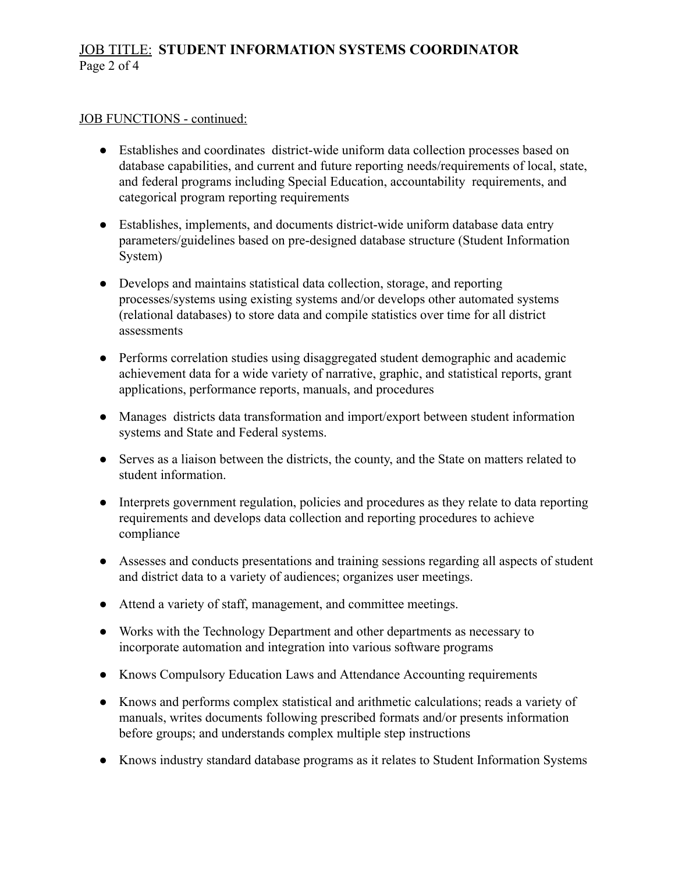## JOB TITLE: STUDENT INFORMATION SYSTEMS COORDINATOR Page 2 of 4

#### JOB FUNCTIONS - continued:

- Establishes and coordinates district-wide uniform data collection processes based on database capabilities, and current and future reporting needs/requirements of local, state, and federal programs including Special Education, accountability requirements, and categorical program reporting requirements
- Establishes, implements, and documents district-wide uniform database data entry parameters/guidelines based on pre-designed database structure (Student Information System)
- Develops and maintains statistical data collection, storage, and reporting processes/systems using existing systems and/or develops other automated systems (relational databases) to store data and compile statistics over time for all district assessments
- Performs correlation studies using disaggregated student demographic and academic achievement data for a wide variety of narrative, graphic, and statistical reports, grant applications, performance reports, manuals, and procedures
- Manages districts data transformation and import/export between student information systems and State and Federal systems.
- Serves as a liaison between the districts, the county, and the State on matters related to student information.
- Interprets government regulation, policies and procedures as they relate to data reporting requirements and develops data collection and reporting procedures to achieve compliance
- Assesses and conducts presentations and training sessions regarding all aspects of student and district data to a variety of audiences; organizes user meetings.
- Attend a variety of staff, management, and committee meetings.
- Works with the Technology Department and other departments as necessary to incorporate automation and integration into various software programs
- Knows Compulsory Education Laws and Attendance Accounting requirements
- Knows and performs complex statistical and arithmetic calculations; reads a variety of manuals, writes documents following prescribed formats and/or presents information before groups; and understands complex multiple step instructions
- Knows industry standard database programs as it relates to Student Information Systems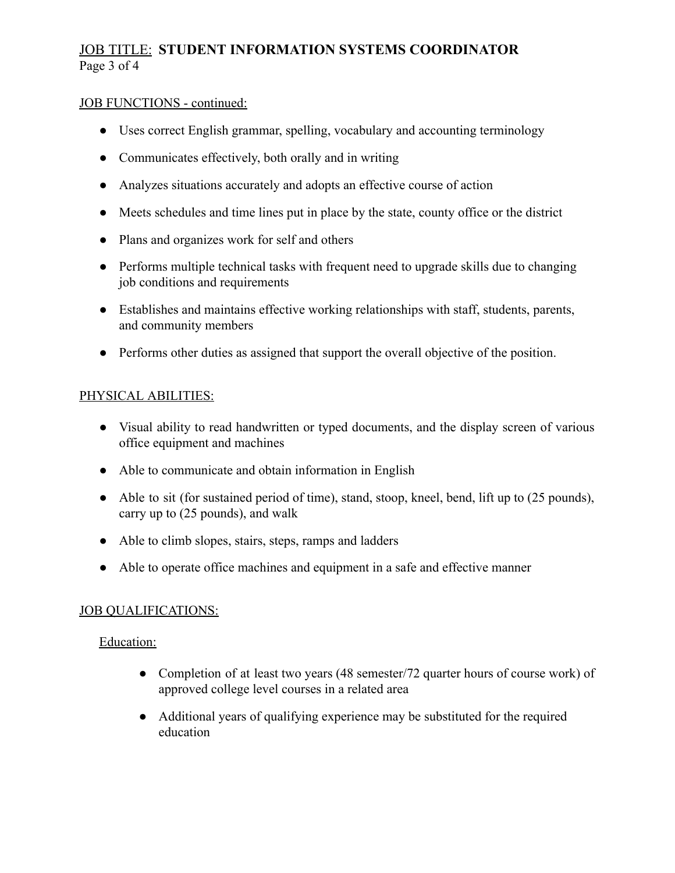# JOB TITLE: STUDENT INFORMATION SYSTEMS COORDINATOR Page 3 of 4

### JOB FUNCTIONS - continued:

- Uses correct English grammar, spelling, vocabulary and accounting terminology
- Communicates effectively, both orally and in writing
- Analyzes situations accurately and adopts an effective course of action
- Meets schedules and time lines put in place by the state, county office or the district
- Plans and organizes work for self and others
- Performs multiple technical tasks with frequent need to upgrade skills due to changing job conditions and requirements
- Establishes and maintains effective working relationships with staff, students, parents, and community members
- Performs other duties as assigned that support the overall objective of the position.

### PHYSICAL ABILITIES:

- Visual ability to read handwritten or typed documents, and the display screen of various office equipment and machines
- Able to communicate and obtain information in English
- Able to sit (for sustained period of time), stand, stoop, kneel, bend, lift up to (25 pounds), carry up to (25 pounds), and walk
- Able to climb slopes, stairs, steps, ramps and ladders
- Able to operate office machines and equipment in a safe and effective manner

### **JOB QUALIFICATIONS:**

### Education:

- Completion of at least two years (48 semester/72 quarter hours of course work) of approved college level courses in a related area
- Additional years of qualifying experience may be substituted for the required education